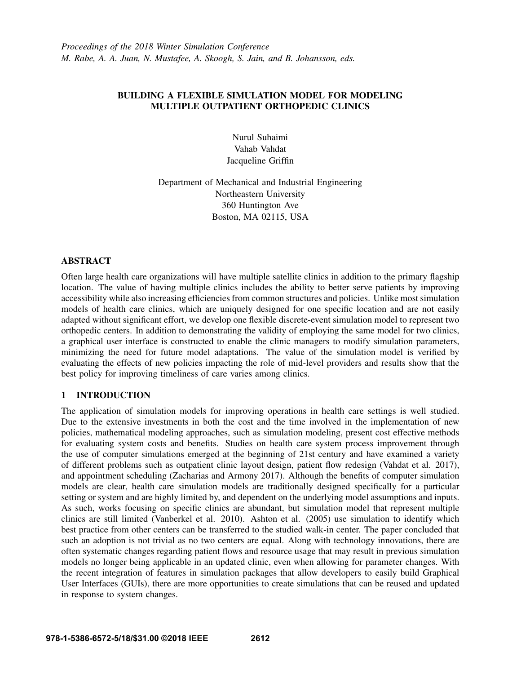## BUILDING A FLEXIBLE SIMULATION MODEL FOR MODELING MULTIPLE OUTPATIENT ORTHOPEDIC CLINICS

Nurul Suhaimi Vahab Vahdat Jacqueline Griffin

Department of Mechanical and Industrial Engineering Northeastern University 360 Huntington Ave Boston, MA 02115, USA

## ABSTRACT

Often large health care organizations will have multiple satellite clinics in addition to the primary flagship location. The value of having multiple clinics includes the ability to better serve patients by improving accessibility while also increasing efficiencies from common structures and policies. Unlike most simulation models of health care clinics, which are uniquely designed for one specific location and are not easily adapted without significant effort, we develop one flexible discrete-event simulation model to represent two orthopedic centers. In addition to demonstrating the validity of employing the same model for two clinics, a graphical user interface is constructed to enable the clinic managers to modify simulation parameters, minimizing the need for future model adaptations. The value of the simulation model is verified by evaluating the effects of new policies impacting the role of mid-level providers and results show that the best policy for improving timeliness of care varies among clinics.

# 1 INTRODUCTION

The application of simulation models for improving operations in health care settings is well studied. Due to the extensive investments in both the cost and the time involved in the implementation of new policies, mathematical modeling approaches, such as simulation modeling, present cost effective methods for evaluating system costs and benefits. Studies on health care system process improvement through the use of computer simulations emerged at the beginning of 21st century and have examined a variety of different problems such as outpatient clinic layout design, patient flow redesign (Vahdat et al. 2017), and appointment scheduling (Zacharias and Armony 2017). Although the benefits of computer simulation models are clear, health care simulation models are traditionally designed specifically for a particular setting or system and are highly limited by, and dependent on the underlying model assumptions and inputs. As such, works focusing on specific clinics are abundant, but simulation model that represent multiple clinics are still limited (Vanberkel et al. 2010). Ashton et al. (2005) use simulation to identify which best practice from other centers can be transferred to the studied walk-in center. The paper concluded that such an adoption is not trivial as no two centers are equal. Along with technology innovations, there are often systematic changes regarding patient flows and resource usage that may result in previous simulation models no longer being applicable in an updated clinic, even when allowing for parameter changes. With the recent integration of features in simulation packages that allow developers to easily build Graphical User Interfaces (GUIs), there are more opportunities to create simulations that can be reused and updated in response to system changes.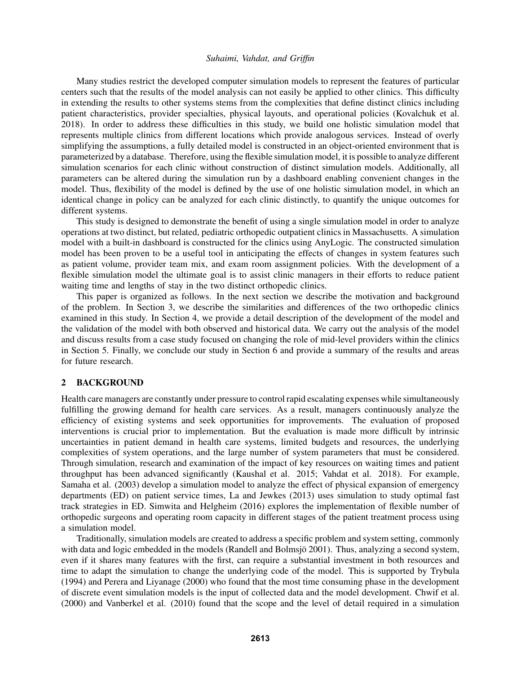Many studies restrict the developed computer simulation models to represent the features of particular centers such that the results of the model analysis can not easily be applied to other clinics. This difficulty in extending the results to other systems stems from the complexities that define distinct clinics including patient characteristics, provider specialties, physical layouts, and operational policies (Kovalchuk et al. 2018). In order to address these difficulties in this study, we build one holistic simulation model that represents multiple clinics from different locations which provide analogous services. Instead of overly simplifying the assumptions, a fully detailed model is constructed in an object-oriented environment that is parameterized by a database. Therefore, using the flexible simulation model, it is possible to analyze different simulation scenarios for each clinic without construction of distinct simulation models. Additionally, all parameters can be altered during the simulation run by a dashboard enabling convenient changes in the model. Thus, flexibility of the model is defined by the use of one holistic simulation model, in which an identical change in policy can be analyzed for each clinic distinctly, to quantify the unique outcomes for different systems.

This study is designed to demonstrate the benefit of using a single simulation model in order to analyze operations at two distinct, but related, pediatric orthopedic outpatient clinics in Massachusetts. A simulation model with a built-in dashboard is constructed for the clinics using AnyLogic. The constructed simulation model has been proven to be a useful tool in anticipating the effects of changes in system features such as patient volume, provider team mix, and exam room assignment policies. With the development of a flexible simulation model the ultimate goal is to assist clinic managers in their efforts to reduce patient waiting time and lengths of stay in the two distinct orthopedic clinics.

This paper is organized as follows. In the next section we describe the motivation and background of the problem. In Section 3, we describe the similarities and differences of the two orthopedic clinics examined in this study. In Section 4, we provide a detail description of the development of the model and the validation of the model with both observed and historical data. We carry out the analysis of the model and discuss results from a case study focused on changing the role of mid-level providers within the clinics in Section 5. Finally, we conclude our study in Section 6 and provide a summary of the results and areas for future research.

#### 2 BACKGROUND

Health care managers are constantly under pressure to control rapid escalating expenses while simultaneously fulfilling the growing demand for health care services. As a result, managers continuously analyze the efficiency of existing systems and seek opportunities for improvements. The evaluation of proposed interventions is crucial prior to implementation. But the evaluation is made more difficult by intrinsic uncertainties in patient demand in health care systems, limited budgets and resources, the underlying complexities of system operations, and the large number of system parameters that must be considered. Through simulation, research and examination of the impact of key resources on waiting times and patient throughput has been advanced significantly (Kaushal et al. 2015; Vahdat et al. 2018). For example, Samaha et al. (2003) develop a simulation model to analyze the effect of physical expansion of emergency departments (ED) on patient service times, La and Jewkes (2013) uses simulation to study optimal fast track strategies in ED. Simwita and Helgheim (2016) explores the implementation of flexible number of orthopedic surgeons and operating room capacity in different stages of the patient treatment process using a simulation model.

Traditionally, simulation models are created to address a specific problem and system setting, commonly with data and logic embedded in the models (Randell and Bolmsjö 2001). Thus, analyzing a second system, even if it shares many features with the first, can require a substantial investment in both resources and time to adapt the simulation to change the underlying code of the model. This is supported by Trybula (1994) and Perera and Liyanage (2000) who found that the most time consuming phase in the development of discrete event simulation models is the input of collected data and the model development. Chwif et al. (2000) and Vanberkel et al. (2010) found that the scope and the level of detail required in a simulation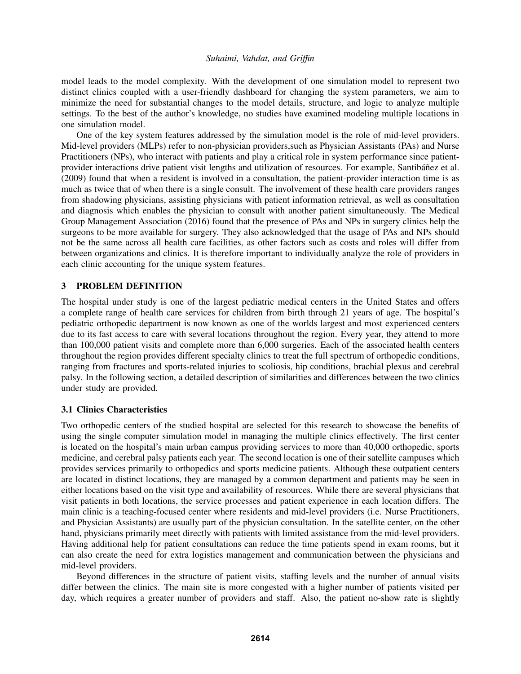model leads to the model complexity. With the development of one simulation model to represent two distinct clinics coupled with a user-friendly dashboard for changing the system parameters, we aim to minimize the need for substantial changes to the model details, structure, and logic to analyze multiple settings. To the best of the author's knowledge, no studies have examined modeling multiple locations in one simulation model.

One of the key system features addressed by the simulation model is the role of mid-level providers. Mid-level providers (MLPs) refer to non-physician providers,such as Physician Assistants (PAs) and Nurse Practitioners (NPs), who interact with patients and play a critical role in system performance since patientprovider interactions drive patient visit lengths and utilization of resources. For example, Santibáñez et al. (2009) found that when a resident is involved in a consultation, the patient-provider interaction time is as much as twice that of when there is a single consult. The involvement of these health care providers ranges from shadowing physicians, assisting physicians with patient information retrieval, as well as consultation and diagnosis which enables the physician to consult with another patient simultaneously. The Medical Group Management Association (2016) found that the presence of PAs and NPs in surgery clinics help the surgeons to be more available for surgery. They also acknowledged that the usage of PAs and NPs should not be the same across all health care facilities, as other factors such as costs and roles will differ from between organizations and clinics. It is therefore important to individually analyze the role of providers in each clinic accounting for the unique system features.

### 3 PROBLEM DEFINITION

The hospital under study is one of the largest pediatric medical centers in the United States and offers a complete range of health care services for children from birth through 21 years of age. The hospital's pediatric orthopedic department is now known as one of the worlds largest and most experienced centers due to its fast access to care with several locations throughout the region. Every year, they attend to more than 100,000 patient visits and complete more than 6,000 surgeries. Each of the associated health centers throughout the region provides different specialty clinics to treat the full spectrum of orthopedic conditions, ranging from fractures and sports-related injuries to scoliosis, hip conditions, brachial plexus and cerebral palsy. In the following section, a detailed description of similarities and differences between the two clinics under study are provided.

### 3.1 Clinics Characteristics

Two orthopedic centers of the studied hospital are selected for this research to showcase the benefits of using the single computer simulation model in managing the multiple clinics effectively. The first center is located on the hospital's main urban campus providing services to more than 40,000 orthopedic, sports medicine, and cerebral palsy patients each year. The second location is one of their satellite campuses which provides services primarily to orthopedics and sports medicine patients. Although these outpatient centers are located in distinct locations, they are managed by a common department and patients may be seen in either locations based on the visit type and availability of resources. While there are several physicians that visit patients in both locations, the service processes and patient experience in each location differs. The main clinic is a teaching-focused center where residents and mid-level providers (i.e. Nurse Practitioners, and Physician Assistants) are usually part of the physician consultation. In the satellite center, on the other hand, physicians primarily meet directly with patients with limited assistance from the mid-level providers. Having additional help for patient consultations can reduce the time patients spend in exam rooms, but it can also create the need for extra logistics management and communication between the physicians and mid-level providers.

Beyond differences in the structure of patient visits, staffing levels and the number of annual visits differ between the clinics. The main site is more congested with a higher number of patients visited per day, which requires a greater number of providers and staff. Also, the patient no-show rate is slightly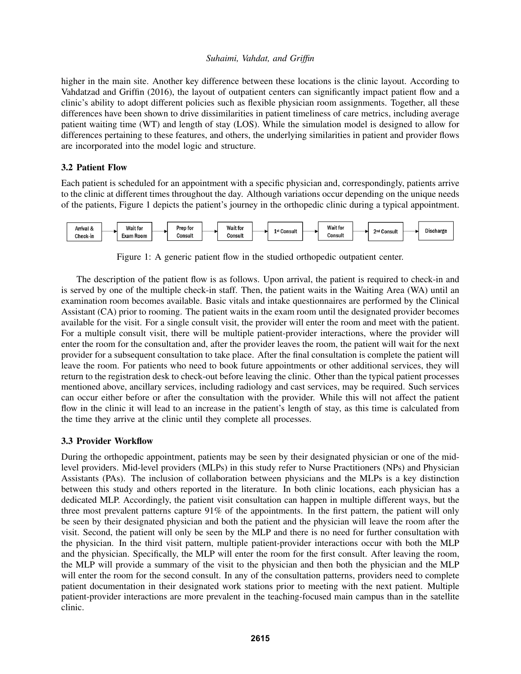higher in the main site. Another key difference between these locations is the clinic layout. According to Vahdatzad and Griffin (2016), the layout of outpatient centers can significantly impact patient flow and a clinic's ability to adopt different policies such as flexible physician room assignments. Together, all these differences have been shown to drive dissimilarities in patient timeliness of care metrics, including average patient waiting time (WT) and length of stay (LOS). While the simulation model is designed to allow for differences pertaining to these features, and others, the underlying similarities in patient and provider flows are incorporated into the model logic and structure.

# 3.2 Patient Flow

Each patient is scheduled for an appointment with a specific physician and, correspondingly, patients arrive to the clinic at different times throughout the day. Although variations occur depending on the unique needs of the patients, Figure 1 depicts the patient's journey in the orthopedic clinic during a typical appointment.



Figure 1: A generic patient flow in the studied orthopedic outpatient center.

The description of the patient flow is as follows. Upon arrival, the patient is required to check-in and is served by one of the multiple check-in staff. Then, the patient waits in the Waiting Area (WA) until an examination room becomes available. Basic vitals and intake questionnaires are performed by the Clinical Assistant (CA) prior to rooming. The patient waits in the exam room until the designated provider becomes available for the visit. For a single consult visit, the provider will enter the room and meet with the patient. For a multiple consult visit, there will be multiple patient-provider interactions, where the provider will enter the room for the consultation and, after the provider leaves the room, the patient will wait for the next provider for a subsequent consultation to take place. After the final consultation is complete the patient will leave the room. For patients who need to book future appointments or other additional services, they will return to the registration desk to check-out before leaving the clinic. Other than the typical patient processes mentioned above, ancillary services, including radiology and cast services, may be required. Such services can occur either before or after the consultation with the provider. While this will not affect the patient flow in the clinic it will lead to an increase in the patient's length of stay, as this time is calculated from the time they arrive at the clinic until they complete all processes.

# 3.3 Provider Workflow

During the orthopedic appointment, patients may be seen by their designated physician or one of the midlevel providers. Mid-level providers (MLPs) in this study refer to Nurse Practitioners (NPs) and Physician Assistants (PAs). The inclusion of collaboration between physicians and the MLPs is a key distinction between this study and others reported in the literature. In both clinic locations, each physician has a dedicated MLP. Accordingly, the patient visit consultation can happen in multiple different ways, but the three most prevalent patterns capture 91% of the appointments. In the first pattern, the patient will only be seen by their designated physician and both the patient and the physician will leave the room after the visit. Second, the patient will only be seen by the MLP and there is no need for further consultation with the physician. In the third visit pattern, multiple patient-provider interactions occur with both the MLP and the physician. Specifically, the MLP will enter the room for the first consult. After leaving the room, the MLP will provide a summary of the visit to the physician and then both the physician and the MLP will enter the room for the second consult. In any of the consultation patterns, providers need to complete patient documentation in their designated work stations prior to meeting with the next patient. Multiple patient-provider interactions are more prevalent in the teaching-focused main campus than in the satellite clinic.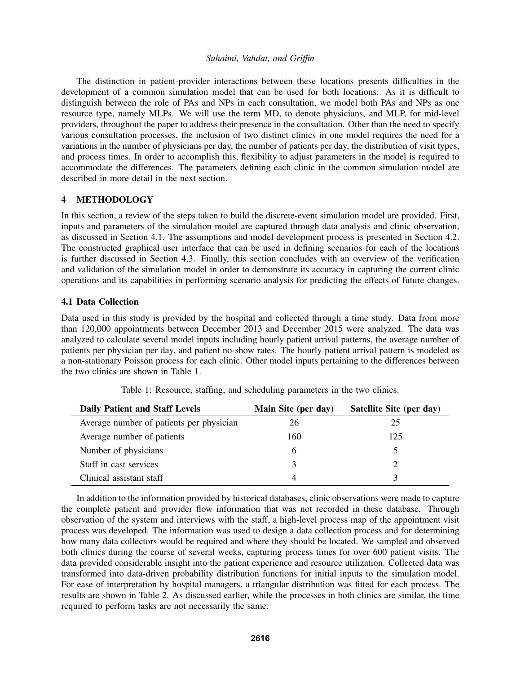The distinction in patient-provider interactions between these locations presents difficulties in the development of a common simulation model that can be used for both locations. As it is difficult to distinguish between the role of PAs and NPs in each consultation, we model both PAs and NPs as one resource type, namely MLPs. We will use the term MD, to denote physicians, and MLP, for mid-level providers, throughout the paper to address their presence in the consultation. Other than the need to specify various consultation processes, the inclusion of two distinct clinics in one model requires the need for a variations in the number of physicians per day, the number of patients per day, the distribution of visit types, and process times. In order to accomplish this, flexibility to adjust parameters in the model is required to accommodate the differences. The parameters defining each clinic in the common simulation model are described in more detail in the next section.

### 4 METHODOLOGY

In this section, a review of the steps taken to build the discrete-event simulation model are provided. First, inputs and parameters of the simulation model are captured through data analysis and clinic observation, as discussed in Section 4.1. The assumptions and model development process is presented in Section 4.2. The constructed graphical user interface that can be used in defining scenarios for each of the locations is further discussed in Section 4.3. Finally, this section concludes with an overview of the verification and validation of the simulation model in order to demonstrate its accuracy in capturing the current clinic operations and its capabilities in performing scenario analysis for predicting the effects of future changes.

#### 4.1 Data Collection

Data used in this study is provided by the hospital and collected through a time study. Data from more than 120,000 appointments between December 2013 and December 2015 were analyzed. The data was analyzed to calculate several model inputs including hourly patient arrival patterns, the average number of patients per physician per day, and patient no-show rates. The hourly patient arrival pattern is modeled as a non-stationary Poisson process for each clinic. Other model inputs pertaining to the differences between the two clinics are shown in Table 1.

| <b>Daily Patient and Staff Levels</b>    | Main Site (per day) | Satellite Site (per day) |
|------------------------------------------|---------------------|--------------------------|
| Average number of patients per physician | 26                  | 25                       |
| Average number of patients               | 160                 | 125                      |
| Number of physicians                     | h                   |                          |
| Staff in cast services                   | 3                   |                          |
| Clinical assistant staff                 |                     |                          |

Table 1: Resource, staffing, and scheduling parameters in the two clinics.

In addition to the information provided by historical databases, clinic observations were made to capture the complete patient and provider flow information that was not recorded in these database. Through observation of the system and interviews with the staff, a high-level process map of the appointment visit process was developed. The information was used to design a data collection process and for determining how many data collectors would be required and where they should be located. We sampled and observed both clinics during the course of several weeks, capturing process times for over 600 patient visits. The data provided considerable insight into the patient experience and resource utilization. Collected data was transformed into data-driven probability distribution functions for initial inputs to the simulation model. For ease of interpretation by hospital managers, a triangular distribution was fitted for each process. The results are shown in Table 2. As discussed earlier, while the processes in both clinics are similar, the time required to perform tasks are not necessarily the same.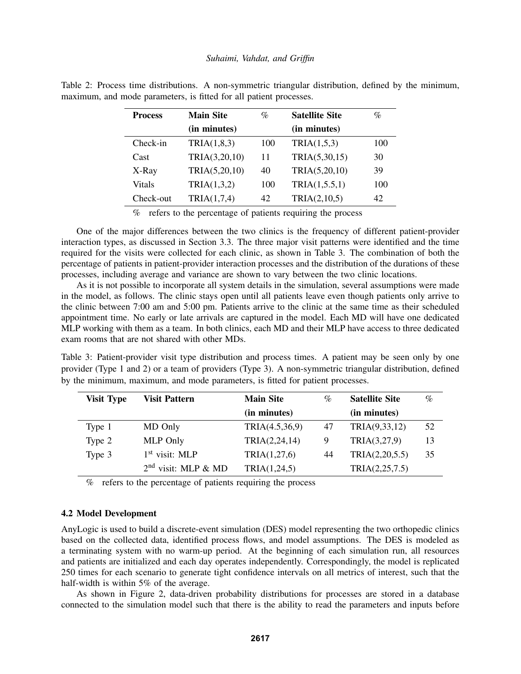| <b>Process</b> | <b>Main Site</b> | $\%$ | <b>Satellite Site</b> | $\%$ |
|----------------|------------------|------|-----------------------|------|
|                | (in minutes)     |      | (in minutes)          |      |
| Check-in       | TRIA(1,8,3)      | 100  | TRIA(1,5,3)           | 100  |
| Cast           | TRIA(3,20,10)    | 11   | TRIA(5,30,15)         | 30   |
| X-Ray          | TRIA(5,20,10)    | 40   | TRIA(5,20,10)         | 39   |
| Vitals         | TRIA(1,3,2)      | 100  | TRIA(1, 5.5, 1)       | 100  |
| Check-out      | TRIA(1,7,4)      | 42   | TRIA(2,10,5)          | 42   |

Table 2: Process time distributions. A non-symmetric triangular distribution, defined by the minimum, maximum, and mode parameters, is fitted for all patient processes.

% refers to the percentage of patients requiring the process

One of the major differences between the two clinics is the frequency of different patient-provider interaction types, as discussed in Section 3.3. The three major visit patterns were identified and the time required for the visits were collected for each clinic, as shown in Table 3. The combination of both the percentage of patients in patient-provider interaction processes and the distribution of the durations of these processes, including average and variance are shown to vary between the two clinic locations.

As it is not possible to incorporate all system details in the simulation, several assumptions were made in the model, as follows. The clinic stays open until all patients leave even though patients only arrive to the clinic between 7:00 am and 5:00 pm. Patients arrive to the clinic at the same time as their scheduled appointment time. No early or late arrivals are captured in the model. Each MD will have one dedicated MLP working with them as a team. In both clinics, each MD and their MLP have access to three dedicated exam rooms that are not shared with other MDs.

Table 3: Patient-provider visit type distribution and process times. A patient may be seen only by one provider (Type 1 and 2) or a team of providers (Type 3). A non-symmetric triangular distribution, defined by the minimum, maximum, and mode parameters, is fitted for patient processes.

| <b>Visit Type</b> | <b>Visit Pattern</b>  | <b>Main Site</b> | $\%$ | <b>Satellite Site</b> | $\%$ |
|-------------------|-----------------------|------------------|------|-----------------------|------|
|                   |                       | (in minutes)     |      | (in minutes)          |      |
| Type 1            | MD Only               | TRIA(4.5,36,9)   | 47   | TRIA(9,33,12)         | 52   |
| Type 2            | MLP Only              | TRIA(2,24,14)    | 9    | TRIA(3,27,9)          | 13   |
| Type 3            | $1st$ visit: MLP      | TRIA(1,27,6)     | 44   | TRIA(2,20,5.5)        | 35   |
|                   | $2nd$ visit: MLP & MD | TRIA(1,24,5)     |      | TRIA(2,25,7.5)        |      |

% refers to the percentage of patients requiring the process

#### 4.2 Model Development

AnyLogic is used to build a discrete-event simulation (DES) model representing the two orthopedic clinics based on the collected data, identified process flows, and model assumptions. The DES is modeled as a terminating system with no warm-up period. At the beginning of each simulation run, all resources and patients are initialized and each day operates independently. Correspondingly, the model is replicated 250 times for each scenario to generate tight confidence intervals on all metrics of interest, such that the half-width is within 5% of the average.

As shown in Figure 2, data-driven probability distributions for processes are stored in a database connected to the simulation model such that there is the ability to read the parameters and inputs before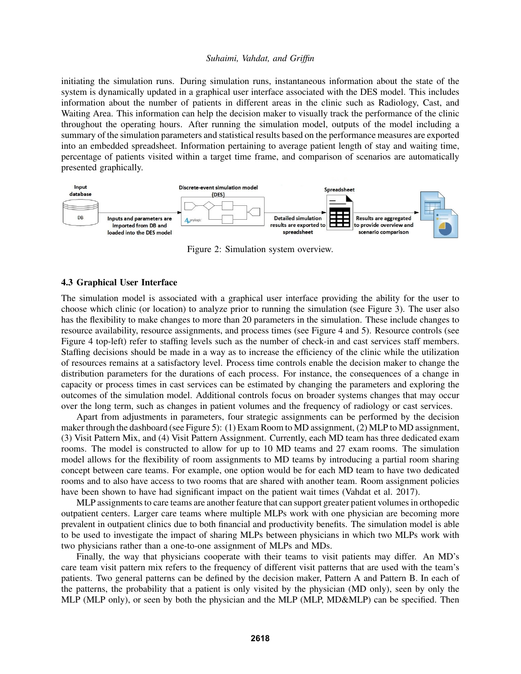initiating the simulation runs. During simulation runs, instantaneous information about the state of the system is dynamically updated in a graphical user interface associated with the DES model. This includes information about the number of patients in different areas in the clinic such as Radiology, Cast, and Waiting Area. This information can help the decision maker to visually track the performance of the clinic throughout the operating hours. After running the simulation model, outputs of the model including a summary of the simulation parameters and statistical results based on the performance measures are exported into an embedded spreadsheet. Information pertaining to average patient length of stay and waiting time, percentage of patients visited within a target time frame, and comparison of scenarios are automatically presented graphically.



Figure 2: Simulation system overview.

#### 4.3 Graphical User Interface

The simulation model is associated with a graphical user interface providing the ability for the user to choose which clinic (or location) to analyze prior to running the simulation (see Figure 3). The user also has the flexibility to make changes to more than 20 parameters in the simulation. These include changes to resource availability, resource assignments, and process times (see Figure 4 and 5). Resource controls (see Figure 4 top-left) refer to staffing levels such as the number of check-in and cast services staff members. Staffing decisions should be made in a way as to increase the efficiency of the clinic while the utilization of resources remains at a satisfactory level. Process time controls enable the decision maker to change the distribution parameters for the durations of each process. For instance, the consequences of a change in capacity or process times in cast services can be estimated by changing the parameters and exploring the outcomes of the simulation model. Additional controls focus on broader systems changes that may occur over the long term, such as changes in patient volumes and the frequency of radiology or cast services.

Apart from adjustments in parameters, four strategic assignments can be performed by the decision maker through the dashboard (see Figure 5): (1) Exam Room to MD assignment, (2) MLP to MD assignment, (3) Visit Pattern Mix, and (4) Visit Pattern Assignment. Currently, each MD team has three dedicated exam rooms. The model is constructed to allow for up to 10 MD teams and 27 exam rooms. The simulation model allows for the flexibility of room assignments to MD teams by introducing a partial room sharing concept between care teams. For example, one option would be for each MD team to have two dedicated rooms and to also have access to two rooms that are shared with another team. Room assignment policies have been shown to have had significant impact on the patient wait times (Vahdat et al. 2017).

MLP assignments to care teams are another feature that can support greater patient volumes in orthopedic outpatient centers. Larger care teams where multiple MLPs work with one physician are becoming more prevalent in outpatient clinics due to both financial and productivity benefits. The simulation model is able to be used to investigate the impact of sharing MLPs between physicians in which two MLPs work with two physicians rather than a one-to-one assignment of MLPs and MDs.

Finally, the way that physicians cooperate with their teams to visit patients may differ. An MD's care team visit pattern mix refers to the frequency of different visit patterns that are used with the team's patients. Two general patterns can be defined by the decision maker, Pattern A and Pattern B. In each of the patterns, the probability that a patient is only visited by the physician (MD only), seen by only the MLP (MLP only), or seen by both the physician and the MLP (MLP, MD&MLP) can be specified. Then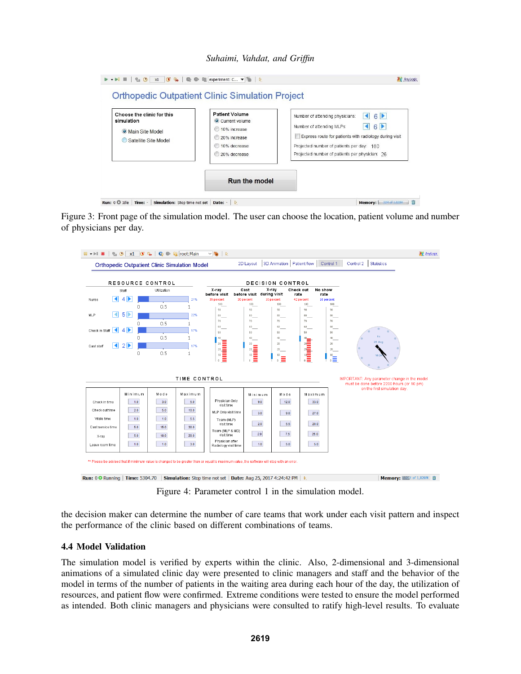*Suhaimi, Vahdat, and Griffin*

| Choose the clinic for this<br>simulation<br>O Main Site Model<br>Satellite Site Model | <b>Patient Volume</b><br>Current volume<br>10% increase<br>20% increase<br>10% decrease<br>20% decrease | $6 \blacktriangleright$<br>Number of attending physicians:<br>Number of attending MLPs:<br>6 P<br>Express route for patients with radiology during visit<br>Projected number of patients per day: 160<br>Projected number of patients per physician: 26 |
|---------------------------------------------------------------------------------------|---------------------------------------------------------------------------------------------------------|---------------------------------------------------------------------------------------------------------------------------------------------------------------------------------------------------------------------------------------------------------|
|                                                                                       | <b>Run the model</b>                                                                                    |                                                                                                                                                                                                                                                         |

Figure 3: Front page of the simulation model. The user can choose the location, patient volume and number of physicians per day.



Figure 4: Parameter control 1 in the simulation model.

the decision maker can determine the number of care teams that work under each visit pattern and inspect the performance of the clinic based on different combinations of teams.

# 4.4 Model Validation

The simulation model is verified by experts within the clinic. Also, 2-dimensional and 3-dimensional animations of a simulated clinic day were presented to clinic managers and staff and the behavior of the model in terms of the number of patients in the waiting area during each hour of the day, the utilization of resources, and patient flow were confirmed. Extreme conditions were tested to ensure the model performed as intended. Both clinic managers and physicians were consulted to ratify high-level results. To evaluate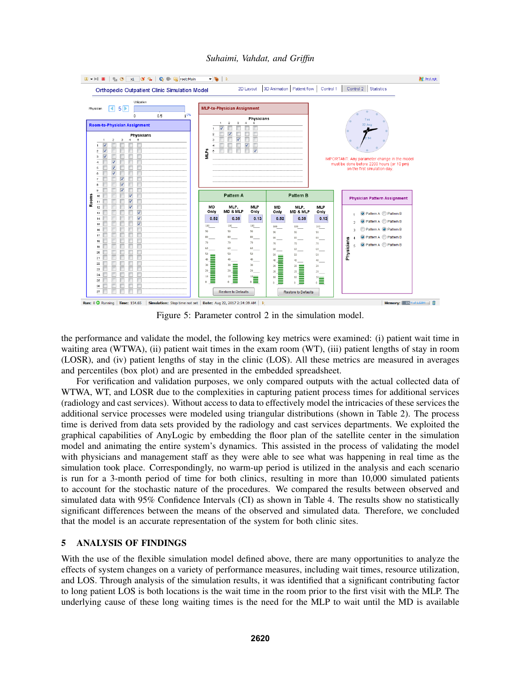

Figure 5: Parameter control 2 in the simulation model.

the performance and validate the model, the following key metrics were examined: (i) patient wait time in waiting area (WTWA), (ii) patient wait times in the exam room (WT), (iii) patient lengths of stay in room (LOSR), and (iv) patient lengths of stay in the clinic (LOS). All these metrics are measured in averages and percentiles (box plot) and are presented in the embedded spreadsheet.

For verification and validation purposes, we only compared outputs with the actual collected data of WTWA, WT, and LOSR due to the complexities in capturing patient process times for additional services (radiology and cast services). Without access to data to effectively model the intricacies of these services the additional service processes were modeled using triangular distributions (shown in Table 2). The process time is derived from data sets provided by the radiology and cast services departments. We exploited the graphical capabilities of AnyLogic by embedding the floor plan of the satellite center in the simulation model and animating the entire system's dynamics. This assisted in the process of validating the model with physicians and management staff as they were able to see what was happening in real time as the simulation took place. Correspondingly, no warm-up period is utilized in the analysis and each scenario is run for a 3-month period of time for both clinics, resulting in more than 10,000 simulated patients to account for the stochastic nature of the procedures. We compared the results between observed and simulated data with 95% Confidence Intervals (CI) as shown in Table 4. The results show no statistically significant differences between the means of the observed and simulated data. Therefore, we concluded that the model is an accurate representation of the system for both clinic sites.

# 5 ANALYSIS OF FINDINGS

With the use of the flexible simulation model defined above, there are many opportunities to analyze the effects of system changes on a variety of performance measures, including wait times, resource utilization, and LOS. Through analysis of the simulation results, it was identified that a significant contributing factor to long patient LOS is both locations is the wait time in the room prior to the first visit with the MLP. The underlying cause of these long waiting times is the need for the MLP to wait until the MD is available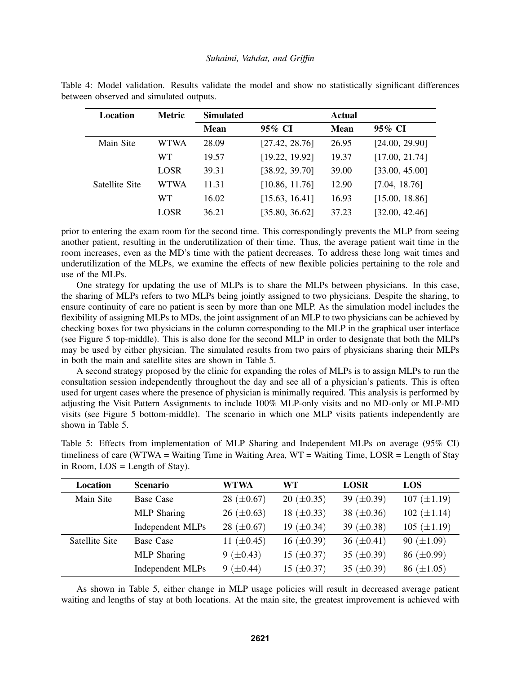| Location       | <b>Metric</b> | <b>Simulated</b> |                | Actual      |                |
|----------------|---------------|------------------|----------------|-------------|----------------|
|                |               | <b>Mean</b>      | 95% CI         | <b>Mean</b> | 95% CI         |
| Main Site      | <b>WTWA</b>   | 28.09            | [27.42, 28.76] | 26.95       | [24.00, 29.90] |
|                | <b>WT</b>     | 19.57            | [19.22, 19.92] | 19.37       | [17.00, 21.74] |
|                | <b>LOSR</b>   | 39.31            | [38.92, 39.70] | 39.00       | [33.00, 45.00] |
| Satellite Site | <b>WTWA</b>   | 11.31            | [10.86, 11.76] | 12.90       | [7.04, 18.76]  |
|                | <b>WT</b>     | 16.02            | [15.63, 16.41] | 16.93       | [15.00, 18.86] |
|                | LOSR          | 36.21            | [35.80, 36.62] | 37.23       | [32.00, 42.46] |

Table 4: Model validation. Results validate the model and show no statistically significant differences between observed and simulated outputs.

prior to entering the exam room for the second time. This correspondingly prevents the MLP from seeing another patient, resulting in the underutilization of their time. Thus, the average patient wait time in the room increases, even as the MD's time with the patient decreases. To address these long wait times and underutilization of the MLPs, we examine the effects of new flexible policies pertaining to the role and use of the MLPs.

One strategy for updating the use of MLPs is to share the MLPs between physicians. In this case, the sharing of MLPs refers to two MLPs being jointly assigned to two physicians. Despite the sharing, to ensure continuity of care no patient is seen by more than one MLP. As the simulation model includes the flexibility of assigning MLPs to MDs, the joint assignment of an MLP to two physicians can be achieved by checking boxes for two physicians in the column corresponding to the MLP in the graphical user interface (see Figure 5 top-middle). This is also done for the second MLP in order to designate that both the MLPs may be used by either physician. The simulated results from two pairs of physicians sharing their MLPs in both the main and satellite sites are shown in Table 5.

A second strategy proposed by the clinic for expanding the roles of MLPs is to assign MLPs to run the consultation session independently throughout the day and see all of a physician's patients. This is often used for urgent cases where the presence of physician is minimally required. This analysis is performed by adjusting the Visit Pattern Assignments to include 100% MLP-only visits and no MD-only or MLP-MD visits (see Figure 5 bottom-middle). The scenario in which one MLP visits patients independently are shown in Table 5.

Table 5: Effects from implementation of MLP Sharing and Independent MLPs on average (95% CI)

| Location       | <b>Scenario</b>    | WTWA              | WT                | <b>LOSR</b>       | LOS                |
|----------------|--------------------|-------------------|-------------------|-------------------|--------------------|
| Main Site      | Base Case          | 28 ( $\pm 0.67$ ) | 20 ( $\pm 0.35$ ) | 39 ( $\pm 0.39$ ) | 107 $(\pm 1.19)$   |
|                | <b>MLP</b> Sharing | 26 ( $\pm 0.63$ ) | 18 $(\pm 0.33)$   | 38 $(\pm 0.36)$   | $102 (\pm 1.14)$   |
|                | Independent MLPs   | 28 $(\pm 0.67)$   | 19 $(\pm 0.34)$   | 39 ( $\pm 0.38$ ) | $105 \ (\pm 1.19)$ |
| Satellite Site | Base Case          | 11 $(\pm 0.45)$   | 16 $(\pm 0.39)$   | 36 $(\pm 0.41)$   | 90 $(\pm 1.09)$    |
|                | <b>MLP</b> Sharing | 9 ( $\pm$ 0.43)   | 15 $(\pm 0.37)$   | 35 ( $\pm$ 0.39)  | 86 $(\pm 0.99)$    |
|                | Independent MLPs   | 9 $(\pm 0.44)$    | 15 $(\pm 0.37)$   | 35 ( $\pm$ 0.39)  | 86 $(\pm 1.05)$    |

As shown in Table 5, either change in MLP usage policies will result in decreased average patient waiting and lengths of stay at both locations. At the main site, the greatest improvement is achieved with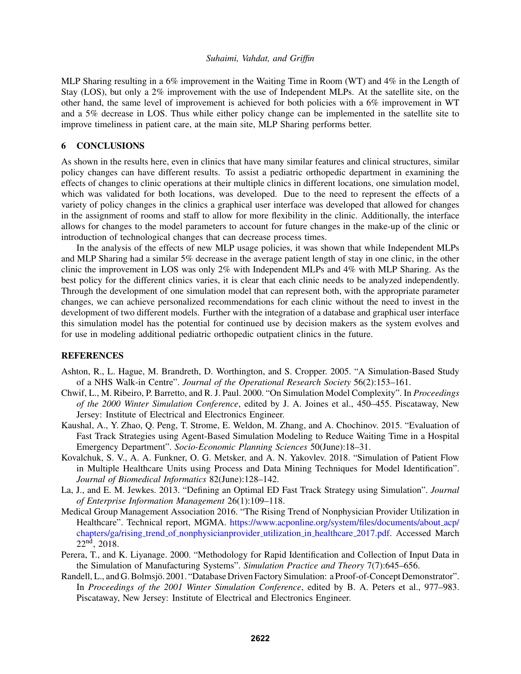MLP Sharing resulting in a 6% improvement in the Waiting Time in Room (WT) and 4% in the Length of Stay (LOS), but only a 2% improvement with the use of Independent MLPs. At the satellite site, on the other hand, the same level of improvement is achieved for both policies with a 6% improvement in WT and a 5% decrease in LOS. Thus while either policy change can be implemented in the satellite site to improve timeliness in patient care, at the main site, MLP Sharing performs better.

#### 6 CONCLUSIONS

As shown in the results here, even in clinics that have many similar features and clinical structures, similar policy changes can have different results. To assist a pediatric orthopedic department in examining the effects of changes to clinic operations at their multiple clinics in different locations, one simulation model, which was validated for both locations, was developed. Due to the need to represent the effects of a variety of policy changes in the clinics a graphical user interface was developed that allowed for changes in the assignment of rooms and staff to allow for more flexibility in the clinic. Additionally, the interface allows for changes to the model parameters to account for future changes in the make-up of the clinic or introduction of technological changes that can decrease process times.

In the analysis of the effects of new MLP usage policies, it was shown that while Independent MLPs and MLP Sharing had a similar 5% decrease in the average patient length of stay in one clinic, in the other clinic the improvement in LOS was only 2% with Independent MLPs and 4% with MLP Sharing. As the best policy for the different clinics varies, it is clear that each clinic needs to be analyzed independently. Through the development of one simulation model that can represent both, with the appropriate parameter changes, we can achieve personalized recommendations for each clinic without the need to invest in the development of two different models. Further with the integration of a database and graphical user interface this simulation model has the potential for continued use by decision makers as the system evolves and for use in modeling additional pediatric orthopedic outpatient clinics in the future.

## **REFERENCES**

- Ashton, R., L. Hague, M. Brandreth, D. Worthington, and S. Cropper. 2005. "A Simulation-Based Study of a NHS Walk-in Centre". *Journal of the Operational Research Society* 56(2):153–161.
- Chwif, L., M. Ribeiro, P. Barretto, and R. J. Paul. 2000. "On Simulation Model Complexity". In *Proceedings of the 2000 Winter Simulation Conference*, edited by J. A. Joines et al., 450–455. Piscataway, New Jersey: Institute of Electrical and Electronics Engineer.
- Kaushal, A., Y. Zhao, Q. Peng, T. Strome, E. Weldon, M. Zhang, and A. Chochinov. 2015. "Evaluation of Fast Track Strategies using Agent-Based Simulation Modeling to Reduce Waiting Time in a Hospital Emergency Department". *Socio-Economic Planning Sciences* 50(June):18–31.
- Kovalchuk, S. V., A. A. Funkner, O. G. Metsker, and A. N. Yakovlev. 2018. "Simulation of Patient Flow in Multiple Healthcare Units using Process and Data Mining Techniques for Model Identification". *Journal of Biomedical Informatics* 82(June):128–142.
- La, J., and E. M. Jewkes. 2013. "Defining an Optimal ED Fast Track Strategy using Simulation". *Journal of Enterprise Information Management* 26(1):109–118.
- Medical Group Management Association 2016. "The Rising Trend of Nonphysician Provider Utilization in Healthcare". Technical report, MGMA. https://www.acponline.org/system/files/documents/about acp/ chapters/ga/rising trend of nonphysicianprovider utilization in healthcare 2017.pdf. Accessed March  $22<sup>nd</sup>$ , 2018.
- Perera, T., and K. Liyanage. 2000. "Methodology for Rapid Identification and Collection of Input Data in the Simulation of Manufacturing Systems". *Simulation Practice and Theory* 7(7):645–656.
- Randell, L., and G. Bolmsjö. 2001. "Database Driven Factory Simulation: a Proof-of-Concept Demonstrator". In *Proceedings of the 2001 Winter Simulation Conference*, edited by B. A. Peters et al., 977–983. Piscataway, New Jersey: Institute of Electrical and Electronics Engineer.